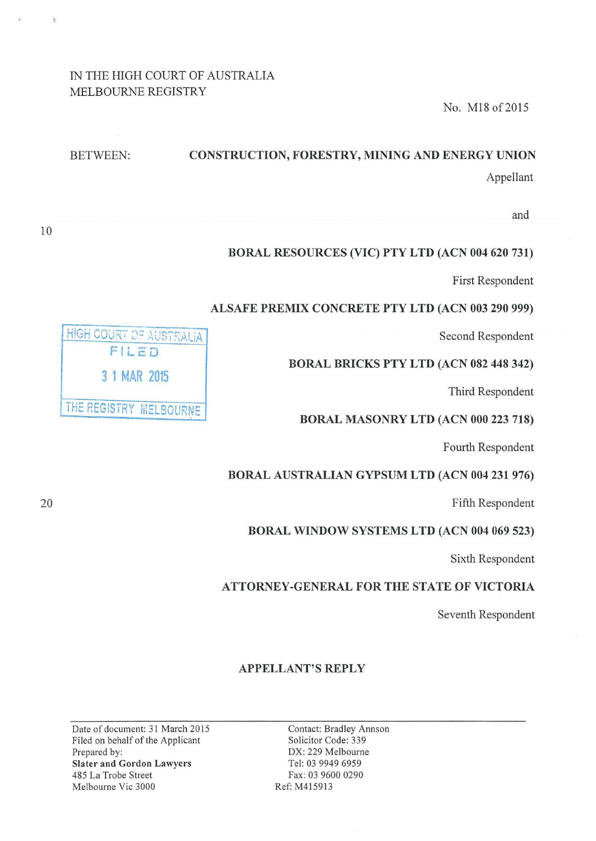# IN THE HIGH COURT OF AUSTRALIA MELBOURNE REGISTRY

No. M18 of2015

| <b>BETWEEN:</b> | <b>CONSTRUCTION, FORESTRY, MINING AND ENERGY UNION</b> |
|-----------------|--------------------------------------------------------|
|                 | Appellant                                              |
|                 |                                                        |

and

## BORAL RESOURCES (VIC) PTY LTD (ACN 004 620 731)

First Respondent

#### ALSAFE PREMIX CONCRETE PTY LTD (ACN 003 290 999)

Second Respondent

#### BORAL BRICKS PTY LTD (ACN 082 448 342)

Third Respondent

#### BORAL MASONRY LTD (ACN 000 223 718)

Fourth Respondent

#### BORAL AUSTRALIAN GYPSUM LTD (ACN 004 231 976)

Fifth Respondent

## BORAL WINDOW SYSTEMS LTD (ACN 004 069 523)

Sixth Respondent

## ATTORNEY-GENERAL FOR THE STATE OF VICTORIA

Seventh Respondent

#### APPELLANT'S REPLY

Date of document: 31 March 2015 Filed on behalf of the Applicant Prepared by: Slater and Gordon Lawyers 485 LaTrobe Street Melbourne Vic 3000

Contact: Bradley Annson Solicitor Code: 339 DX: 229 Melbourne Tel: 03 9949 6959 Fax: 03 9600 0290 Ref: M415913

HIGH COURT OF AUSTRALIA FILeD 3 1 MAR 2015 THE REGISTRY MELBOURNE

20

10

 $\tilde{\gamma}$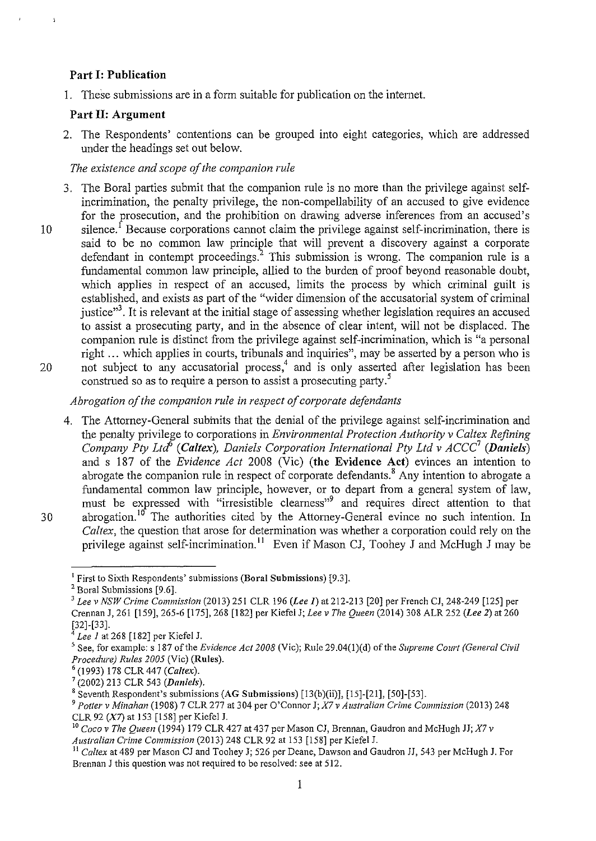## Part 1: Publication

ä

1. These submissions are in a form suitable for publication on the internet.

## Part II: Argument

2. The Respondents' contentions can be grouped into eight categories, which are addressed under the headings set out below.

### *The existence and scope of the companion rule*

- 3. The Bora! parties submit that the companion rule is no more than the privilege against selfincrimination, the penalty privilege, the non-compellability of an accused to give evidence for the prosecution, and the prohibition on drawing adverse inferences from an accused's
- 10 silence.<sup>1</sup> Because corporations cannot claim the privilege against self-incrimination, there is said to be no common law principle that will prevent a discovery against a corporate defendant in contempt proceedings.<sup>2</sup> This submission is wrong. The companion rule is a fundamental common law principle, allied to the burden of proof beyond reasonable doubt, which applies in respect of an accused, limits the process by which criminal guilt is established, and exists as part of the "wider dimension of the accusatorial system of criminal justice"<sup>3</sup>. It is relevant at the initial stage of assessing whether legislation requires an accused to assist a prosecuting party, and in the absence of clear intent, will not be displaced. The companion rule is distinct from the privilege against self-incrimination, which is "a personal right ... which applies in courts, tribunals and inquiries", may be asserted by a person who is 20 not subject to any accusatorial process,<sup>4</sup> and is only asserted after legislation has been
- construed so as to require a person to assist a prosecuting party.<sup>5</sup>

# *Abrogation of the companion rule in respect of corporate defendants*

4. The Attorney-General submits that the denial of the privilege against self-incrimination and the penalty privilege to corporations in *Environmental Protection Authority v Caltex Refining Company Pty Ltd*<sup>6</sup> (Caltex), Daniels Corporation International Pty Ltd v ACCC<sup>7</sup> (Daniels) and s 187 of the *Evidence Act* 2008 (Vic) (the Evidence Act) evinces an intention to abrogate the companion rule in respect of corporate defendants.<sup>8</sup> Any intention to abrogate a fundamental common law principle, however, or to depart from a general system of law, must be expressed with "irresistible cleamess"9 and requires direct attention to that 30 abrogation.<sup>10</sup> The authorities cited by the Attorney-General evince no such intention. In *Caltex,* the question that arose for determination was whether a corporation could rely on the privilege against self-incrimination.<sup>11</sup> Even if Mason CJ, Toohey J and McHugh J may be

<sup>&</sup>lt;sup>1</sup> First to Sixth Respondents' submissions (Boral Submissions) [9.3].  $2^2$  Boral Submissions [9.6].

<sup>3</sup>*Lee v NSW Crime Commission* (2013) 251 CLR 196 *(Lee I)* at 212-213 [20] per French CJ, 248-249 [125] per Crennan J, 261 [159], 265-6 [175], 268 [182] per Kiefel J; *Lee v The Queen* (2014) 308 ALR 252 *(Lee* 2) at 260 [32]-[33].

<sup>4</sup>*Lee 1* at 268 [182] per Kiefel J.

<sup>5</sup> See, for example: s 187 of the *Evidence Act 2008* (Vic); Rule 29.04(l)(d) of the *Supreme Court (General Civil Procedure) Rules 2005* (Vic) (Rules). 6 (1993) 178 CLR 447 *(Caltex).* 

<sup>7 (2002) 213</sup> CLR 543 *(Daniels).* 

 $8$  Seventh Respondent's submissions (AG Submissions) [13(b)(ii)], [15]-[21], [50]-[53].

<sup>9</sup>*Potter v Minahan* (1908) 7 CLR 277 at 304 per O'Connor J; *X7 v Australian Crime Commission* (2013) 248 CLR 92 ( $X7$ ) at 153 [158] per Kiefel J.

<sup>&</sup>lt;sup>10</sup> *Coco v The Queen* (1994) 179 CLR 427 at 437 per Mason CJ, Brennan, Gaudron and McHugh JJ; *X7 v Australian Crime Commission* (2013) 248 CLR 92 at 153 [158] per Kiefel J.

<sup>&</sup>lt;sup>11</sup> Caltex at 489 per Mason CJ and Toohey J; 526 per Deane, Dawson and Gaudron JJ, 543 per McHugh J. For Brennan J this question was not required to be resolved: see at 512.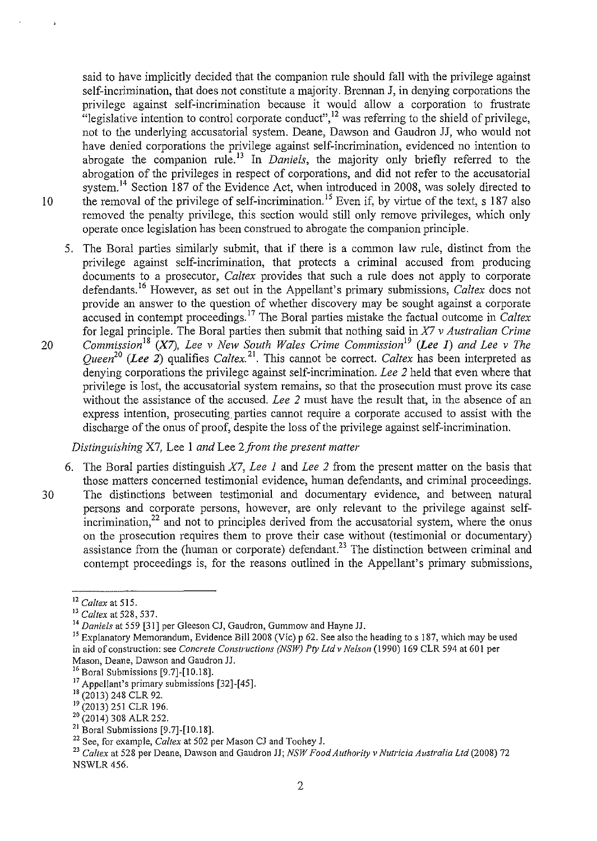said to have implicitly decided that the companion rule should fall with the privilege against self-incrimination, that does not constitute a majority. Brennan J, in denying corporations the privilege against self-incrimination because it would allow a corporation to frustrate "legislative intention to control corporate conduct",<sup>12</sup> was referring to the shield of privilege, not to the underlying accusatorial system. Deane, Dawson and Gaudron JJ, who would not have denied corporations the privilege against self-incrimination, evidenced no intention to abrogate the companion rule.<sup>13</sup> In *Daniels*, the majority only briefly referred to the abrogation of the privileges in respect of corporations, and did not refer to the accusatorial system.<sup>14</sup> Section 187 of the Evidence Act, when introduced in 2008, was solely directed to 10 the removal of the privilege of self-incrimination.<sup>15</sup> Even if, by virtue of the text, s 187 also removed the penalty privilege, this section would still only remove privileges, which only operate once legislation has been construed to abrogate the companion principle.

- 5. The Bora! parties similarly submit, that if there is a common law rule, distinct from the privilege against self-incrimination, that protects a criminal accused from producing documents to a prosecutor, *Caltex* provides that such a rule does not apply to corporate defendants. 16 However, as set out in the Appellant's primary submissions, *Caltex* does not provide an answer to the question of whether discovery may be sought against a corporate accused in contempt proceedings. 17 The Bora! parties mistake the factual outcome in *Caltex*  for legal principle. The Bora! parties then submit that nothing said in *X7 v Australian Crime*
- 20 *Commission*<sup>18</sup> (X7), *Lee v New South Wales Crime Commission*<sup>19</sup> (Lee 1) and Lee v The *Queen20 (Lee 2)* qualifies *Caltex.* <sup>21</sup> . This cannot be correct. *Caltex* has been interpreted as denying corporations the privilege against self-incrimination. *Lee 2* held that even where that privilege is lost, the accusatorial system remains, so that the prosecution must prove its case without the assistance of the accused. *Lee 2* must have the result that, in the absence of an express intention, prosecuting parties cannot require a corporate accused to assist with the discharge of the onus of proof, despite the loss of the privilege against self-incrimination.

#### *Distinguishing X7, Lee 1 and Lee 2 from the present matter*

- 6. The Bora! parties distinguish *X7, Lee I* and *Lee 2* from the present matter on the basis that those matters concerned testimonial evidence, human defendants, and criminal proceedings.
- 30 The distinctions between testimonial and documentary evidence, and between natural persons and corporate persons, however, are only relevant to the privilege against self- $\frac{1}{2}$  and not to principles derived from the accusatorial system, where the onus on the prosecution requires them to prove their case without (testimonial or documentary) assistance from the (human or corporate) defendant.<sup>23</sup> The distinction between criminal and contempt proceedings is, for the reasons outlined in the Appellant's primary submissions,

<sup>&</sup>lt;sup>12</sup> Caltex at 515.<br><sup>13</sup> Caltex at 528, 537.<br><sup>14</sup> Daniels at 559 [31] per Gleeson CJ, Gaudron, Gummow and Hayne JJ.<br><sup>15</sup> Explanatory Memorandum, Evidence Bill 2008 (Vic) p 62. See also the heading to s 187, which may be u in aid of construction: see *Concrete Constructions (NSW) Pty Ltd v Nelson* (1990) 169 CLR 594 at 601 per Mason, Deane, Dawson and Gaudron JJ.<br><sup>16</sup> Boral Submissions [9.7]-[10.18].

<sup>&</sup>lt;sup>17</sup> Appellant's primary submissions [32]-[45].

<sup>&</sup>lt;sup>18</sup> (2013) 248 CLR 92.<br><sup>19</sup> (2013) 251 CLR 196.

 $\frac{20}{21}$  (2014) 308 ALR 252.<br><sup>21</sup> Boral Submissions [9.7]-[10.18].

<sup>&</sup>lt;sup>22</sup> See, for example, *Caltex* at 502 per Mason CJ and Toohey J.<br><sup>23</sup> *Caltex* at 528 per Deane, Dawson and Gaudron JJ; *NSW Food Authority v Nutricia Australia Ltd* (2008) 72 NSWLR456.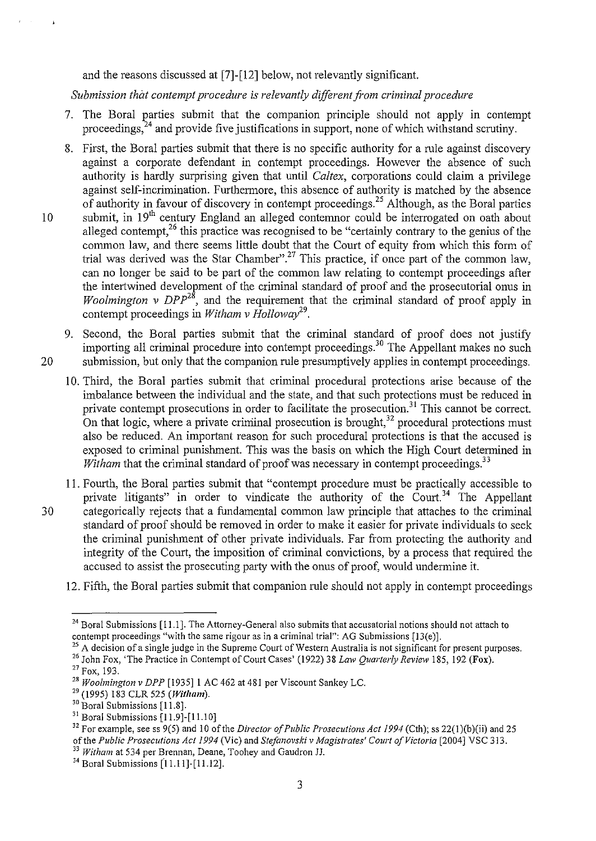and the reasons discussed at [7]-[12] below, not relevantly significant.

*Submission that contempt procedure is relevantly different fi'om criminal procedure* 

- 7. The Bora! parties submit that the companion principle should not apply in contempt proceedings,  $24$  and provide five justifications in support, none of which withstand scrutiny.
- 8. First, the Boral parties submit that there is no specific authority for a rule against discovery against a corporate defendant in contempt proceedings. However the absence of such authority is hardly surprising given that until *Caltex,* corporations could claim a privilege against self-incrimination. Furthermore, this absence of authority is matched by the absence of authority in favour of discovery in contempt proceedings.<sup>25</sup> Although, as the Boral parties 10 submit, in 19<sup>th</sup> century England an alleged contemnor could be interrogated on oath about
	- alleged contempt,<sup>26</sup> this practice was recognised to be "certainly contrary to the genius of the common law, and there seems little doubt that the Court of equity from which this form of trial was derived was the Star Chamber".<sup>27</sup> This practice, if once part of the common law, can no longer be said to be part of the common law relating to contempt proceedings after the intertwined development of the criminal standard of proof and the prosecutorial onus in *Woolmington v DPP*<sup>28</sup>, and the requirement that the criminal standard of proof apply in contempt proceedings in *Witham v Holloway*<sup>29</sup>.
- 9. Second, the Boral parties submit that the criminal standard of proof does not justify importing all criminal procedure into contempt proceedings. 30 The Appellant makes no such 20 submission, but only that the companion rule presumptively applies in contempt proceedings.
	- 10. Third, the Bora! parties submit that criminal procedural protections arise because of the imbalance between the individual and the state, and that such protections must be reduced in private contempt prosecutions in order to facilitate the prosecution.<sup>31</sup> This cannot be correct. On that logic, where a private criminal prosecution is brought,  $32$  procedural protections must also be reduced. An important reason for such procedural protections is that the accused is exposed to criminal punishment. This was the basis on which the High Court determined in *Witham* that the criminal standard of proof was necessary in contempt proceedings.<sup>33</sup>
- 11. Fourth, the Bora! parties submit that "contempt procedure must be practically accessible to private litigants" in order to vindicate the authority of the Court.<sup>34</sup> The Appellant 30 categorically rejects that a fundamental common law principle that attaches to the criminal standard of proof should be removed in order to make it easier for private individuals to seek the criminal punishment of other private individuals. Far from protecting the authority and integrity of the Court, the imposition of criminal convictions, by a process that required the accused to assist the prosecuting party with the onus of proof, would undermine it.
	- 12. Fifth, the Boral parties submit that companion rule should not apply in contempt proceedings

<sup>25</sup> A decision of a single judge in the Supreme Court of Western Australia is not significant for present purposes.

<sup>&</sup>lt;sup>24</sup> Boral Submissions [11.1]. The Attorney-General also submits that accusatorial notions should not attach to contempt proceedings "with the same rigour as in a criminal trial": AG Submissions [13(e)].

<sup>&</sup>lt;sup>26</sup> John Fox, 'The Practice in Contempt of Court Cases' (1922) 38 *Law Quarterly Review* 185, 192 (Fox).<br><sup>27</sup> Fox, 193.

<sup>&</sup>lt;sup>28</sup> Woolmington v DPP [1935] 1 AC 462 at 481 per Viscount Sankey LC.

<sup>29 (!995) 183</sup> CLR 525 *(Witham).* 

 $30$  Boral Submissions [11.8].<br> $31$  Boral Submissions [11.9]-[11.10]

<sup>&</sup>lt;sup>32</sup> For example, see ss 9(5) and 10 of the *Director of Public Prosecutions Act 1994* (Cth); ss 22(1)(b)(ii) and 25 of the Public Prosecutions Act 1994 (Vic) and Stefanovski v Magistrates' Court of Victoria [2004] VSC 313.<br><sup>33</sup> Witham at 534 per Brennan, Deane, Toohey and Gaudron JJ.<br><sup>34</sup> Boral Submissions [11.11]-[11.12].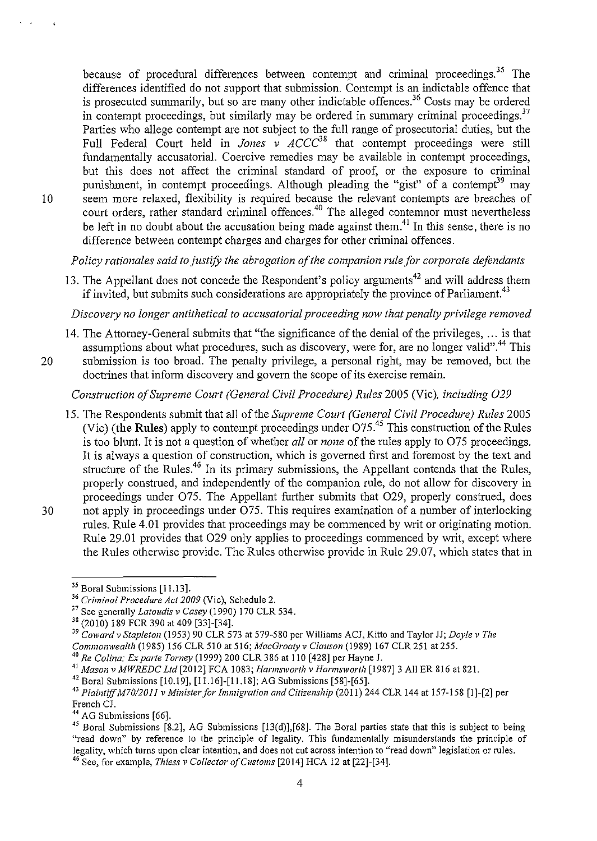because of procedural differences between contempt and criminal proceedings.<sup>35</sup> The differences identified do not support that submission. Contempt is an indictable offence that is prosecuted summarily, but so are many other indictable offences.<sup>36</sup> Costs may be ordered in contempt proceedings, but similarly may be ordered in summary criminal proceedings.<sup>37</sup> Parties who allege contempt are not subject to the full range of prosecutorial duties, but the Full Federal Court held in *Jones v ACCC*<sup>38</sup> that contempt proceedings were still fundamentally accusatorial. Coercive remedies may be available in contempt proceedings, but this does not affect the criminal standard of proof, or the exposure to criminal punishment, in contempt proceedings. Although pleading the "gist" of a contempt<sup>39</sup> may 10 seem more relaxed, flexibility is required because the relevant contempts are breaches of court orders, rather standard criminal offences.<sup>40</sup> The alleged contemnor must nevertheless be left in no doubt about the accusation being made against them.<sup>41</sup>**In** this sense, there is no difference between contempt charges and charges for other criminal offences.

*Policy rationales said to justify the abrogation of the companion rule for corporate defendants* 

13. The Appellant does not concede the Respondent's policy arguments<sup>42</sup> and will address them if invited, but submits such considerations are appropriately the province of Parliament.<sup>43</sup>

*Discovery no longer antithetical to accusatorial proceeding now that penalty privilege removed* 

14. The Attorney-General submits that "the significance of the denial of the privileges, ... is that assumptions about what procedures, such as discovery, were for, are no longer valid".<sup>44</sup> This 20 submission is too broad. The penalty privilege, a personal right, may be removed, but the doctrines that inform discovery and govern the scope of its exercise remain.

*Construction of Supreme Court (General Civil Procedure) Rules* 2005 (Vic), *including 029* 

15. The Respondents submit that all of the *Supreme Court (General Civil Procedure) Rules* 2005 (Vic) **(the Rules)** apply to contempt proceedings under 075.45 This construction of the Ruies is too blunt. It is not a question of whether *all* or *none* of the rules apply to 075 proceedings. It is always a question of construction, which is governed first and foremost by the text and structure of the Rules.<sup>46</sup> In its primary submissions, the Appellant contends that the Rules, properly construed, and independently of the companion rule, do not allow for discovery in proceedings under O75. The Appellant further submits that O29, properly construed, does 30 not apply in proceedings under O75. This requires examination of a number of interlocking rules. Rule 4.01 provides that proceedings may be commenced by writ or originating motion. Rule 29.01 provides that 029 only applies to proceedings commenced by writ, except where the Rules otherwise provide. The Rules otherwise provide in Rule 29.07, which states that in

<sup>&</sup>lt;sup>35</sup> Boral Submissions [11.13].<br><sup>36</sup> *Criminal Procedure Act 2009* (Vic), Schedule 2.

<sup>&</sup>lt;sup>37</sup> See generally *Latoudis v Casey* (1990) 170 CLR 534.<br><sup>38</sup> (2010) 189 FCR 390 at 409 [33]-[34].

<sup>&</sup>lt;sup>39</sup> Coward v Stapleton (1953) 90 CLR 573 at 579-580 per Williams ACJ, Kitto and Taylor JJ; *Doyle v The Commonwealth* (1985) 156 CLR 510 at 516; *MacGroaty v Clauson* (1989) 167 CLR 251 at 255.

<sup>&</sup>lt;sup>40</sup> Re Colina; *Ex parte Torney* (1999) 200 CLR 386 at 110 [428] per Hayne J.<br><sup>41</sup> Mason v MWREDC Ltd [2012] FCA 1083; *Harmsworth v Harmsworth* [1987] 3 All ER 816 at 821.

<sup>&</sup>lt;sup>42</sup> Boral Submissions [10.19], [11.16]-[11.18]; AG Submissions [58]-[65].<br><sup>43</sup> Plaintiff M70/2011 v Minister for Immigration and Citizenship (2011) 244 CLR 144 at 157-158 [1]-[2] per<br>French CJ.

<sup>&</sup>lt;sup>44</sup> AG Submissions [66].<br><sup>45</sup> Boral Submissions [8.2], AG Submissions [13(d)],[68]. The Boral parties state that this is subject to being "read down" by reference to the principle of legality. This fundamentally misunderstands the principle of **legality, which turns upon clear intention, and does not cut across intention to "read down" legislation or rules.** 46 See, for example, *Thiess v Collector of Customs* [2014] HCA 12 at [22]-[34].

<sup>4</sup>